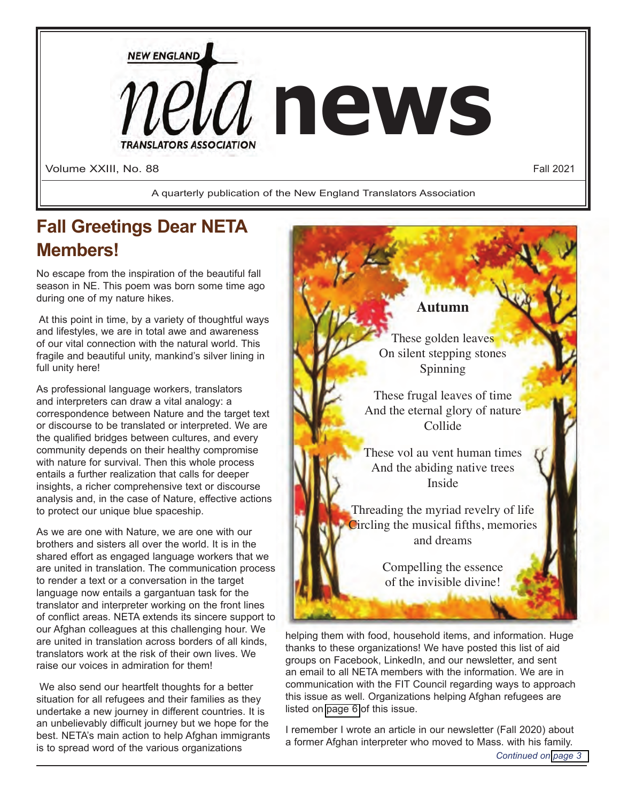

## **Fall Greetings Dear NETA Members!**

No escape from the inspiration of the beautiful fall season in NE. This poem was born some time ago during one of my nature hikes.

 At this point in time, by a variety of thoughtful ways and lifestyles, we are in total awe and awareness of our vital connection with the natural world. This fragile and beautiful unity, mankind's silver lining in full unity here!

As professional language workers, translators and interpreters can draw a vital analogy: a correspondence between Nature and the target text or discourse to be translated or interpreted. We are the qualified bridges between cultures, and every community depends on their healthy compromise with nature for survival. Then this whole process entails a further realization that calls for deeper insights, a richer comprehensive text or discourse analysis and, in the case of Nature, effective actions to protect our unique blue spaceship.

As we are one with Nature, we are one with our brothers and sisters all over the world. It is in the shared effort as engaged language workers that we are united in translation. The communication process to render a text or a conversation in the target language now entails a gargantuan task for the translator and interpreter working on the front lines of conflict areas. NETA extends its sincere support to our Afghan colleagues at this challenging hour. We are united in translation across borders of all kinds, translators work at the risk of their own lives. We raise our voices in admiration for them!

We also send our heartfelt thoughts for a better situation for all refugees and their families as they undertake a new journey in different countries. It is an unbelievably difficult journey but we hope for the best. NETA's main action to help Afghan immigrants is to spread word of the various organizations



an email to all NETA members with the information. We are in communication with the FIT Council regarding ways to approach this issue as well. Organizations helping Afghan refugees are listed on [page 6](#page-5-0) of this issue.

I remember I wrote an article in our newsletter (Fall 2020) about a former Afghan interpreter who moved to Mass. with his family.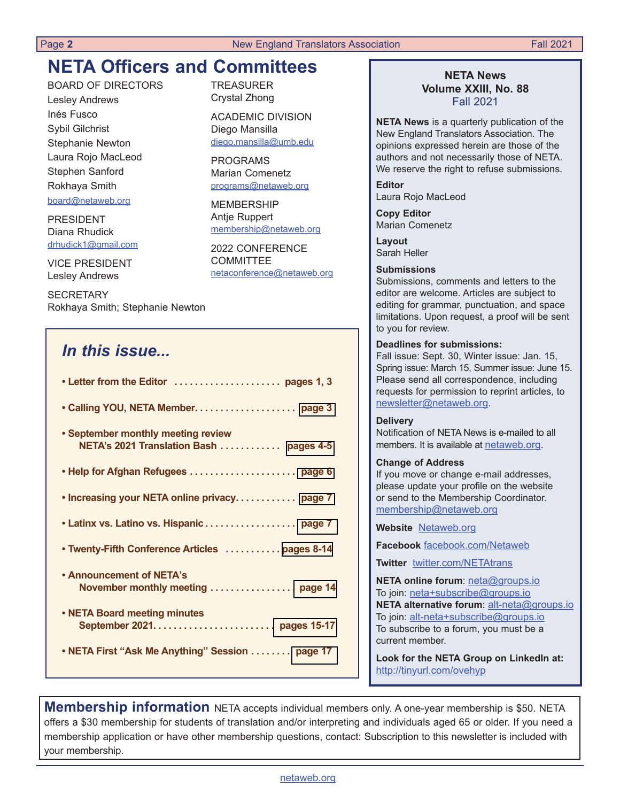## **NETA Officers and Committees**

BOARD OF DIRECTORS Lesley Andrews Inés Fusco Sybil Gilchrist Stephanie Newton Laura Rojo MacLeod Stephen Sanford Rokhaya Smith board@netaweb.org

PRESIDENT Diana Rhudick drhudick1@gmail.com

VICE PRESIDENT Lesley Andrews

**SECRETARY** Rokhaya Smith; Stephanie Newton

## *In this issue...*

| • September monthly meeting review<br>NETA's 2021 Translation Bash  pages 4-5 |
|-------------------------------------------------------------------------------|
|                                                                               |
| . Increasing your NETA online privacy page 7                                  |
| • Latinx vs. Latino vs. Hispanic page 7                                       |
| • Twenty-Fifth Conference Articles  pages 8-14                                |
| • Announcement of NETA's                                                      |
| • NETA Board meeting minutes                                                  |
| • NETA First "Ask Me Anything" Session  page 17                               |

TREASURER Crystal Zhong

ACADEMIC DIVISION Diego Mansilla diego.mansilla@umb.edu

PROGRAMS Marian Comenetz programs@netaweb.org

MEMBERSHIP Antje Ruppert membership@netaweb.org

2022 CONFERENCE COMMITTEE netaconference@netaweb.org

#### **NETA News Volume XXIII, No. 88** Fall 2021

**NETA News** is a quarterly publication of the New England Translators Association. The opinions expressed herein are those of the authors and not necessarily those of NETA. We reserve the right to refuse submissions.

**Editor** Laura Rojo MacLeod

**Copy Editor** Marian Comenetz

**Layout**  Sarah Heller

#### **Submissions**

Submissions, comments and letters to the editor are welcome. Articles are subject to editing for grammar, punctuation, and space limitations. Upon request, a proof will be sent to you for review.

#### **Deadlines for submissions:**

Fall issue: Sept. 30, Winter issue: Jan. 15, Spring issue: March 15, Summer issue: June 15. Please send all correspondence, including requests for permission to reprint articles, to newsletter@netaweb.org.

#### **Delivery**

Notification of NETA News is e-mailed to all members. It is available at netaweb.org.

#### **Change of Address**

If you move or change e-mail addresses, please update your profile on the website or send to the Membership Coordinator. membership@netaweb.org

**Website** Netaweb.org

**Facebook** facebook.com/Netaweb

**Twitter** twitter.com/NETAtrans

**NETA online forum**: neta@groups.io To join: neta+subscribe@groups.io **NETA alternative forum**: alt-neta@groups.io To join: alt-neta+subscribe@groups.io To subscribe to a forum, you must be a current member.

**Look for the NETA Group on LinkedIn at:** http://tinyurl.com/ovehyp

**Membership information** NETA accepts individual members only. A one-year membership is \$50. NETA offers a \$30 membership for students of translation and/or interpreting and individuals aged 65 or older. If you need a membership application or have other membership questions, contact: Subscription to this newsletter is included with your membership.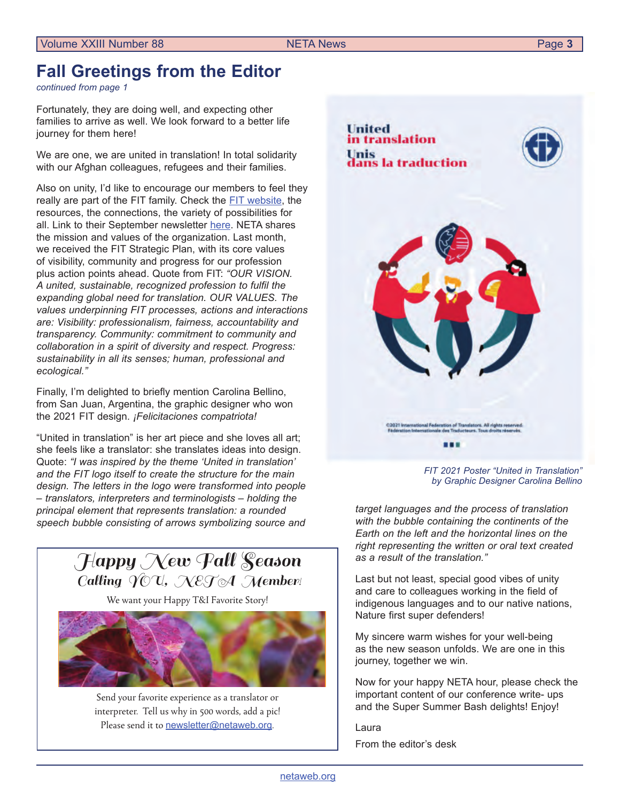## <span id="page-2-0"></span>**Fall Greetings from the Editor**

*continued from page 1*

Fortunately, they are doing well, and expecting other families to arrive as well. We look forward to a better life journey for them here!

We are one, we are united in translation! In total solidarity with our Afghan colleagues, refugees and their families.

Also on unity, I'd like to encourage our members to feel they really are part of the FIT family. Check the FIT w[ebsite](https://www.fit-ift.org/), the resources, the connections, the variety of possibilities for all. Link to their September newsletter [here.](https://wa1.fit-ift.org/wp-content/uploads/2021/09/translatio_2021_3_EN.pdf) NETA shares the mission and values of the organization. Last month, we received the FIT Strategic Plan, with its core values of visibility, community and progress for our profession plus action points ahead. Quote from FIT: *"OUR VISION. A united, sustainable, recognized profession to fulfil the expanding global need for translation. OUR VALUES. The values underpinning FIT processes, actions and interactions are: Visibility: professionalism, fairness, accountability and transparency. Community: commitment to community and collaboration in a spirit of diversity and respect. Progress: sustainability in all its senses; human, professional and ecological."*

Finally, I'm delighted to briefly mention Carolina Bellino, from San Juan, Argentina, the graphic designer who won the 2021 FIT design. *¡Felicitaciones compatriota!*

"United in translation" is her art piece and she loves all art; she feels like a translator: she translates ideas into design. Quote: *"I was inspired by the theme 'United in translation' and the FIT logo itself to create the structure for the main design. The letters in the logo were transformed into people – translators, interpreters and terminologists – holding the principal element that represents translation: a rounded speech bubble consisting of arrows symbolizing source and*



We want your Happy T&I Favorite Story!



Send your favorite experience as a translator or interpreter. Tell us why in 500 words, add a pic! Please send it to [newsletter@netaweb.org](mailto:newsletter%40netaweb.org?subject=My%20Story).

**United** in translation **Unis** ans la traduction C2021 International Federation of Translators. All rights reserves<br>Fedération Internationale des Traducteurs. Tous droits réservés ...

> *FIT 2021 Poster "United in Translation" by Graphic Designer Carolina Bellino*

*target languages and the process of translation with the bubble containing the continents of the Earth on the left and the horizontal lines on the right representing the written or oral text created as a result of the translation."*

Last but not least, special good vibes of unity and care to colleagues working in the field of indigenous languages and to our native nations, Nature first super defenders!

My sincere warm wishes for your well-being as the new season unfolds. We are one in this journey, together we win.

Now for your happy NETA hour, please check the important content of our conference write- ups and the Super Summer Bash delights! Enjoy!

Laura

From the editor's desk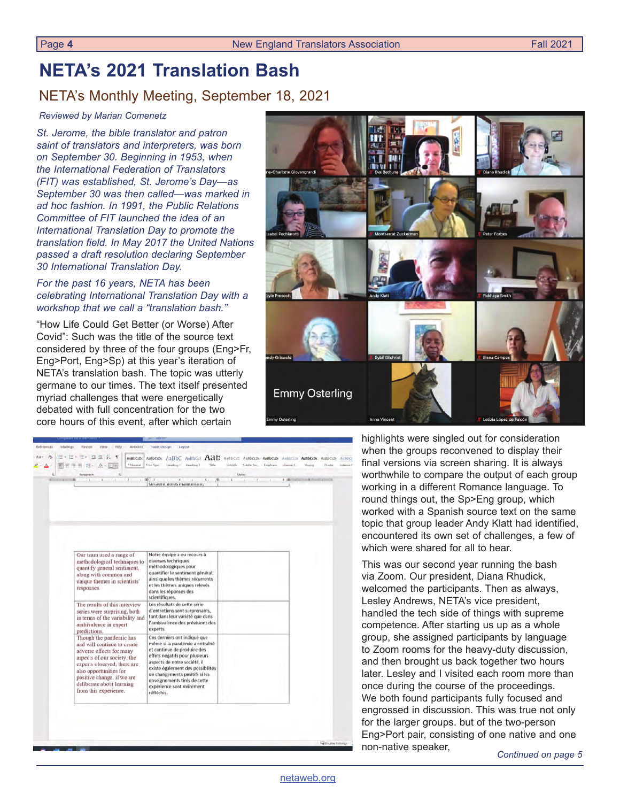## <span id="page-3-0"></span>**NETA's 2021 Translation Bash**

### NETA's Monthly Meeting, September 18, 2021

#### *Reviewed by Marian Comenetz*

*St. Jerome, the bible translator and patron saint of translators and interpreters, was born on September 30. Beginning in 1953, when the International Federation of Translators (FIT) was established, St. Jerome's Day—as September 30 was then called—was marked in ad hoc fashion. In 1991, the Public Relations Committee of FIT launched the idea of an International Translation Day to promote the translation field. In May 2017 the United Nations passed a draft resolution declaring September 30 International Translation Day.*

#### *For the past 16 years, NETA has been celebrating International Translation Day with a workshop that we call a "translation bash."*

"How Life Could Get Better (or Worse) After Covid": Such was the title of the source text considered by three of the four groups (Eng>Fr, Eng>Port, Eng>Sp) at this year's iteration of NETA's translation bash. The topic was utterly germane to our times. The text itself presented myriad challenges that were energetically debated with full concentration for the two core hours of this event, after which certain



|   | e.<br>理<br>涯<br><b>F-</b><br>$0 - 114$                                                                                                                                                                                                                         | AABbCcDr AaBbCcDr AaBbC AaBbCcl AaB<br>* Normal   5 No Spac Heading 1" Heading 2<br>Title                                                                                                                                                                                                                        | Subtitle SubtleTric. Emphasis | AuBbCcC AdBbCcDi AdBbCcDi AuBbCcDi AaBbCcDi AdBbCcDi<br>Messell. | Storing |  |
|---|----------------------------------------------------------------------------------------------------------------------------------------------------------------------------------------------------------------------------------------------------------------|------------------------------------------------------------------------------------------------------------------------------------------------------------------------------------------------------------------------------------------------------------------------------------------------------------------|-------------------------------|------------------------------------------------------------------|---------|--|
| ñ | Feragraph<br>ñ                                                                                                                                                                                                                                                 | Serarent utm/s maintenant.                                                                                                                                                                                                                                                                                       | Styles                        |                                                                  |         |  |
|   |                                                                                                                                                                                                                                                                |                                                                                                                                                                                                                                                                                                                  |                               |                                                                  |         |  |
|   |                                                                                                                                                                                                                                                                |                                                                                                                                                                                                                                                                                                                  |                               |                                                                  |         |  |
|   | Our team used a range of                                                                                                                                                                                                                                       | Notre équipe a eu recours à                                                                                                                                                                                                                                                                                      |                               |                                                                  |         |  |
|   | methodological techniques to<br>quantify general sentiment.<br>along with common and<br>unique themes in scientists'<br>responses.                                                                                                                             | diverses techniques<br>méthodologiques pour<br>quantifier le sentiment général,<br>ainsi que les thèmes récurrents<br>et les thèmes uniques relevés<br>dans les réponses des<br>scientifiques.                                                                                                                   |                               |                                                                  |         |  |
|   | The results of this interview<br>series were surprising, both<br>in terms of the variability and<br>ambivalence in expert<br>predictions.                                                                                                                      | Les résultats de cette série<br>d'entretiens sont surprenants,<br>tant dans leur variété que dans<br>l'ambivalence des prévisions des<br>experts.                                                                                                                                                                |                               |                                                                  |         |  |
|   | Though the pandemic has<br>and will continue to create<br>adverse effects for many<br>aspects of our society, the<br>experts observed, there are<br>also opportunities for<br>positive change, if we are<br>deliberate about learning<br>from this experience. | Ces derniers ont indiqué que<br>même si la pandémie a entraîné<br>et continue de produire des<br>effets négatifs pour plusieurs<br>aspects de notre société, il<br>existe également des possibilités<br>de changements positifs si les<br>enseignements tirés de cette<br>expérience sont mûrement<br>réfléchis. |                               |                                                                  |         |  |

highlights were singled out for consideration when the groups reconvened to display their final versions via screen sharing. It is always worthwhile to compare the output of each group working in a different Romance language. To round things out, the Sp>Eng group, which worked with a Spanish source text on the same topic that group leader Andy Klatt had identified, encountered its own set of challenges, a few of which were shared for all to hear.

This was our second year running the bash via Zoom. Our president, Diana Rhudick, welcomed the participants. Then as always, Lesley Andrews, NETA's vice president, handled the tech side of things with supreme competence. After starting us up as a whole group, she assigned participants by language to Zoom rooms for the heavy-duty discussion, and then brought us back together two hours later. Lesley and I visited each room more than once during the course of the proceedings. We both found participants fully focused and engrossed in discussion. This was true not only for the larger groups. but of the two-person Eng>Port pair, consisting of one native and one non-native speaker, *Continued on page 5*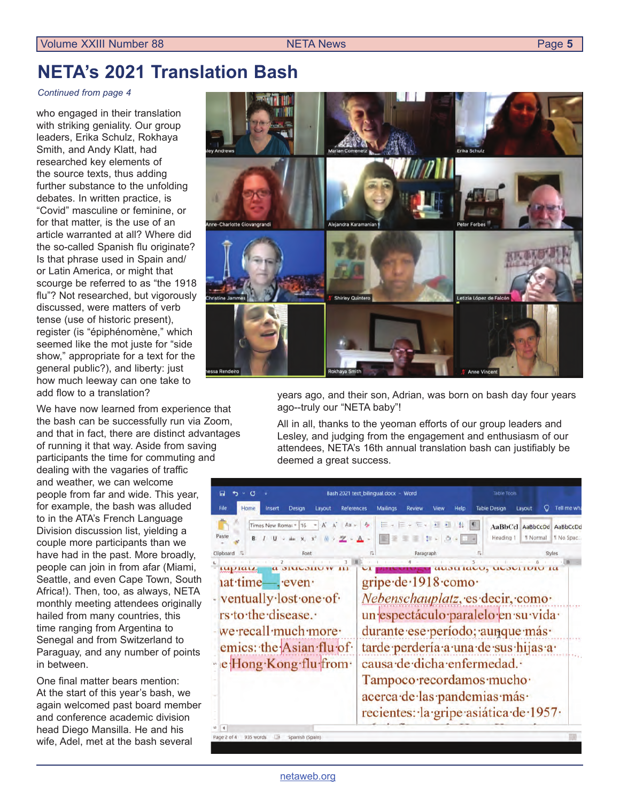## <span id="page-4-0"></span>**NETA's 2021 Translation Bash**

#### *Continued from page 4*

who engaged in their translation with striking geniality. Our group leaders, Erika Schulz, Rokhaya Smith, and Andy Klatt, had researched key elements of the source texts, thus adding further substance to the unfolding debates. In written practice, is "Covid" masculine or feminine, or for that matter, is the use of an article warranted at all? Where did the so-called Spanish flu originate? Is that phrase used in Spain and/ or Latin America, or might that scourge be referred to as "the 1918 flu"? Not researched, but vigorously discussed, were matters of verb tense (use of historic present), register (is "épiphénomène," which seemed like the mot juste for "side show," appropriate for a text for the general public?), and liberty: just how much leeway can one take to add flow to a translation?

We have now learned from experience that the bash can be successfully run via Zoom, and that in fact, there are distinct advantages of running it that way. Aside from saving participants the time for commuting and dealing with the vagaries of traffic and weather, we can welcome people from far and wide. This year, for example, the bash was alluded to in the ATA's French Language Division discussion list, yielding a couple more participants than we have had in the past. More broadly, people can join in from afar (Miami, Seattle, and even Cape Town, South Africa!). Then, too, as always, NETA monthly meeting attendees originally hailed from many countries, this time ranging from Argentina to Senegal and from Switzerland to Paraguay, and any number of points in between.

One final matter bears mention: At the start of this year's bash, we again welcomed past board member and conference academic division head Diego Mansilla. He and his wife, Adel, met at the bash several



years ago, and their son, Adrian, was born on bash day four years ago--truly our "NETA baby"!

All in all, thanks to the yeoman efforts of our group leaders and Lesley, and judging from the engagement and enthusiasm of our attendees, NETA's 16th annual translation bash can justifiably be deemed a great success.

| 圓<br>σ                                                                                                                  | Bash 2021 text_bilingual.docx - Word                                                  | <b>Table Tools</b>                                                                                                                                                                       |
|-------------------------------------------------------------------------------------------------------------------------|---------------------------------------------------------------------------------------|------------------------------------------------------------------------------------------------------------------------------------------------------------------------------------------|
| File<br>Home<br>Design<br>Layout<br><b>References</b><br>Insert                                                         | <b>Mailings</b><br><b>Review</b><br>View                                              | <b>Table Design</b><br>Tell me wha<br>Help<br>Layout                                                                                                                                     |
| A A<br>Times New Romal + 16<br>Aa y A<br>Paste<br>also x, x2<br>之。<br>Clipboard IS<br>Font                              | <b>Ex Ex Ex # #</b><br># > 点 > H +<br>至<br>Paragraph                                  | $\sqrt{q}$<br>91<br>AaBbCcl AaBbCcDd AaBbCcDd<br>Heading 1<br>* Normal<br>1 No Spac.<br>Styles                                                                                           |
| mpian<br><b>a <i>SIMUSHU</i></b><br>iat time-, even                                                                     | gripe de 1918 como                                                                    | auon lauu, uuburruu la                                                                                                                                                                   |
| - ventually lost one of<br>rs to the disease.<br>we recall much more<br>emics: the Asian flu of<br>e Hong Kong flu from | causa de dicha enfermedad.<br>Tampoco recordamos mucho<br>acerca de las pandemias más | Nebenschauplatz, es decir, como<br>un espectáculo paralelo en su vida<br>durante ese período; aunque más<br>tarde perdería a una de sus hijas a<br>recientes: la gripe asiática de 1957. |
| $\overline{4}$<br>Page 2 of 4<br>Spanish (Spain)<br>935 words<br>ΠB                                                     |                                                                                       |                                                                                                                                                                                          |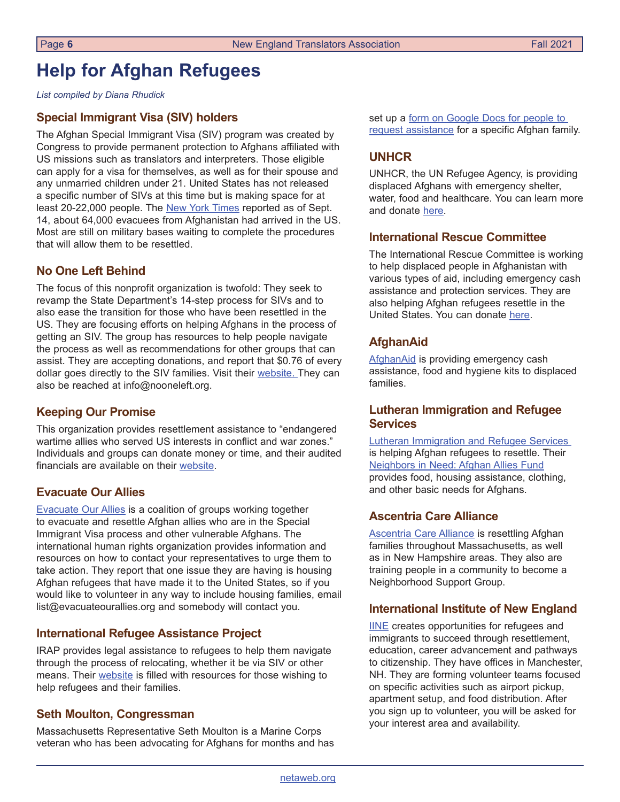## <span id="page-5-0"></span>**Help for Afghan Refugees**

*List compiled by Diana Rhudick*

### **Special Immigrant Visa (SIV) holders**

The Afghan Special Immigrant Visa (SIV) program was created by Congress to provide permanent protection to Afghans affiliated with US missions such as translators and interpreters. Those eligible can apply for a visa for themselves, as well as for their spouse and any unmarried children under 21. United States has not released a specific number of SIVs at this time but is making space for at least 20-22,000 people. The [New York Times](https://www.nytimes.com/2021/09/16/us/politics/afghan-refugees.html) reported as of Sept. 14, about 64,000 evacuees from Afghanistan had arrived in the US. Most are still on military bases waiting to complete the procedures that will allow them to be resettled.

### **No One Left Behind**

The focus of this nonprofit organization is twofold: They seek to revamp the State Department's 14-step process for SIVs and to also ease the transition for those who have been resettled in the US. They are focusing efforts on helping Afghans in the process of getting an SIV. The group has resources to help people navigate the process as well as recommendations for other groups that can assist. They are accepting donations, and report that \$0.76 of every dollar goes directly to the SIV families. Visit their [website](https://nooneleft.org/impact/). They can also be reached at info@nooneleft.org.

### **Keeping Our Promise**

This organization provides resettlement assistance to "endangered wartime allies who served US interests in conflict and war zones." Individuals and groups can donate money or time, and their audited financials are available on their [website](https://www.keepingourpromise.org/).

#### **Evacuate Our Allies**

[Evacuate Our Allies](https://www.evacuateourallies.org/home) is a coalition of groups working together to evacuate and resettle Afghan allies who are in the Special Immigrant Visa process and other vulnerable Afghans. The international human rights organization provides information and resources on how to contact your representatives to urge them to take action. They report that one issue they are having is housing Afghan refugees that have made it to the United States, so if you would like to volunteer in any way to include housing families, email list@evacuateourallies.org and somebody will contact you.

#### **International Refugee Assistance Project**

IRAP provides legal assistance to refugees to help them navigate through the process of relocating, whether it be via SIV or other means. Their [website](https://refugeerights.org/) is filled with resources for those wishing to help refugees and their families.

#### **Seth Moulton, Congressman**

Massachusetts Representative Seth Moulton is a Marine Corps veteran who has been advocating for Afghans for months and has set up a form on Google Docs for people to [request assistance](https://docs.google.com/document/d/1eY7iMt2U7Q-lpXrcgfyNL1ln1sL9i-4fsQAoLtmC438/edit) for a specific Afghan family.

### **UNHCR**

UNHCR, the UN Refugee Agency, is providing displaced Afghans with emergency shelter, water, food and healthcare. You can learn more and donate [here](https://help.unhcr.org/afghanistan/).

#### **International Rescue Committee**

The International Rescue Committee is working to help displaced people in Afghanistan with various types of aid, including emergency cash assistance and protection services. They are also helping Afghan refugees resettle in the United States. You can donate [here](https://help.rescue.org/donate/afghanistan?ms=gs_ppc_fy21_afghanistan_dmusa_aug&initialms=gs_ppc_fy21_afghanistan_dmusa_aug&gclid=CjwKCAjw5c6LBhBdEiwAP9ejG51XvG7-P7hLlvnNpR0c5FLDmPbyAdDWmVsvaaem7VKU1hQsc5MNYhoCVy8QAvD_BwE).

### **AfghanAid**

[AfghanAid](https://www.afghanaid.org.uk/) is providing emergency cash assistance, food and hygiene kits to displaced families.

### **Lutheran Immigration and Refugee Services**

[Lutheran Immigration and Refugee Services](https://www.lirs.org/) is helping Afghan refugees to resettle. Their [Neighbors in Need: Afghan Allies Fund](https://givingcompass.org/fund/neighbors-in-need-afghan-allies-fund) provides food, housing assistance, clothing, and other basic needs for Afghans.

### **Ascentria Care Alliance**

**[Ascentria Care Alliance](https://www.ascentria.org/our-services/services-for-new-americans/help-welcome-afghans?gclid=CjwKCAjw5c6LBhBdEiwAP9ejGxgsf7jlqjdqlRB0NgPRFoqDohNmFBgBsdiv2Y_3G8K9ZsmGjcDM0hoCs54QAvD_BwE) is resettling Afghan** families throughout Massachusetts, as well as in New Hampshire areas. They also are training people in a community to become a Neighborhood Support Group.

#### **International Institute of New England**

[IINE](https://iine.org/volunteer/) creates opportunities for refugees and immigrants to succeed through resettlement, education, career advancement and pathways to citizenship. They have offices in Manchester, NH. They are forming volunteer teams focused on specific activities such as airport pickup, apartment setup, and food distribution. After you sign up to volunteer, you will be asked for your interest area and availability.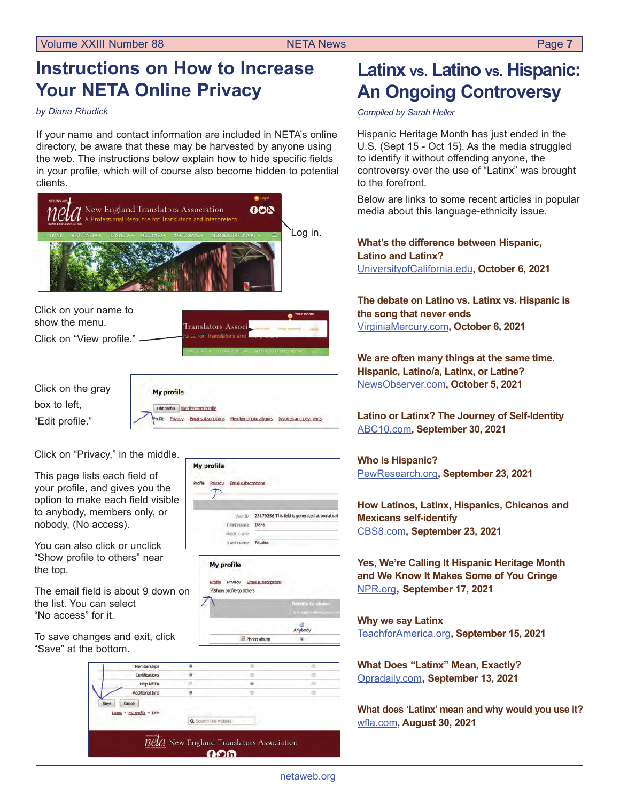## <span id="page-6-0"></span>**Instructions on How to Increase Your NETA Online Privacy**

*by Diana Rhudick*

If your name and contact information are included in NETA's online directory, be aware that these may be harvested by anyone using the web. The instructions below explain how to hide specific fields in your profile, which will of course also become hidden to potential clients.



#### Help NETA à × Additional Info ö Cancel Home - My profile - Edit Q Search this webste  $nela$  New England Translators Association ഹക

## **Latinx vs. Latino vs. Hispanic: An Ongoing Controversy**

*Compiled by Sarah Heller*

Hispanic Heritage Month has just ended in the U.S. (Sept 15 - Oct 15). As the media struggled to identify it without offending anyone, the controversy over the use of "Latinx" was brought to the forefront.

Below are links to some recent articles in popular media about this language-ethnicity issue.

**What's the difference between Hispanic, Latino and Latinx?** [UniversityofCalifornia.edu](https://www.universityofcalifornia.edu/news/choosing-the-right-word-hispanic-latino-and-latinx)**, October 6, 2021** 

**The debate on Latino vs. Latinx vs. Hispanic is the song that never ends**  [VirginiaMercury.com](https://www.virginiamercury.com/2021/10/06/the-debate-on-latino-vs-latinx-vs-hispanic-is-the-song-that-never-ends/)**, October 6, 2021**

**We are often many things at the same time. Hispanic, Latino/a, Latinx, or Latine?** [NewsObserver.com](https://www.newsobserver.com/news/local/article254212398.html)**, October 5, 2021**

**Latino or Latinx? The Journey of Self-Identity** ABC[10.com](https://www.abc10.com/article/news/community/race-and-culture/latino-latinx-self-identity/103-7c3ce71b-0a89-4dfa-b620-4c3d7f9bafa6)**, September 30, 2021**

#### **Who is Hispanic?** P[ewResearch.org](https://www.pewresearch.org/fact-tank/2021/09/23/who-is-hispanic/)**, September 23, 2021**

**How Latinos, Latinx, Hispanics, Chicanos and Mexicans self-identify**  CBS[8.com](https://www.cbs8.com/article/news/local/how-latinos-latinx-hispanics-chicanos-and-mexicans-self-identify-san-diego/509-6bcdbee3-8f4f-4c0c-9e44-0421dffdbb0b)**, September 23, 2021**

**Yes, We're Calling It Hispanic Heritage Month and We Know It Makes Some of You Cringe** [NPR.org](https://www.npr.org/2021/09/17/1037741009/yes-were-calling-it-hispanic-heritage-month-and-we-know-it-makes-some-of-you-cri)**, September 17, 2021**

**Why we say Latinx** [TeachforAmerica.org](https://www.teachforamerica.org/events/latinx-heritage-month-resources)**, September 15, 2021**

**What Does "Latinx" Mean, Exactly?**  [Opra](https://www.oprahdaily.com/life/a28056593/latinx-meaning/)daily.com**, September 13, 2021**

**What does 'Latinx' mean and why would you use it?**  [wfla.com](https://www.wfla.com/hidden-history/hispanic-heritage-month/what-does-latinx-mean-and-why-would-you-use-it/)**, August 30, 2021**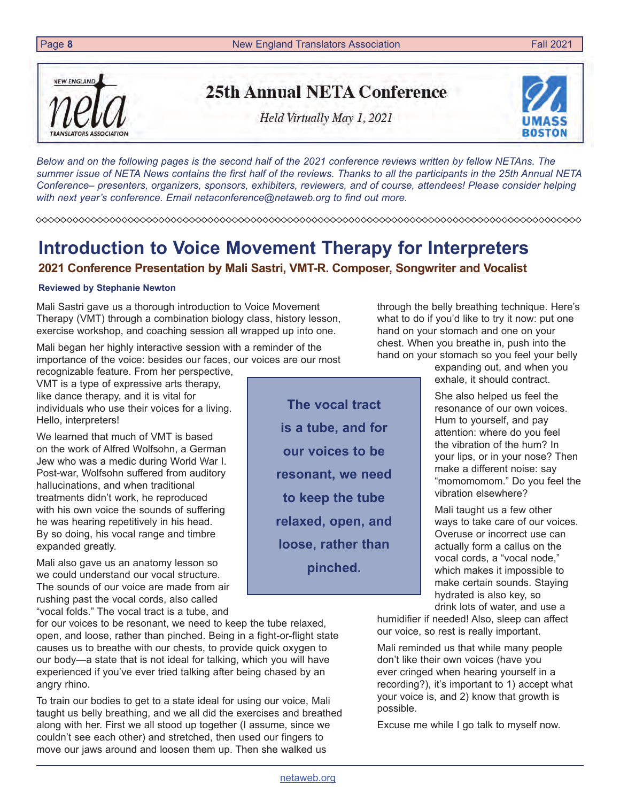<span id="page-7-0"></span>Page 8 **8** New England Translators Association **Fall 2021 Fall 2021** 

*Below and on the following pages is the second half of the 2021 conference reviews written by fellow NETAns. The summer issue of NETA News contains the first half of the reviews. Thanks to all the participants in the 25th Annual NETA Conference– presenters, organizers, sponsors, exhibiters, reviewers, and of course, attendees! Please consider helping with next year's conference. Email [netaconference@netaweb.org](mailto:netaconference%40netaweb.org?subject=I%27d%20like%20to%20help%20with%20the%202022%20conference.) to find out more.*

**The vocal tract** 

**is a tube, and for** 

**our voices to be** 

**resonant, we need** 

**to keep the tube** 

**relaxed, open, and** 

**loose, rather than** 

**pinched.**

# **Introduction to Voice Movement Therapy for Interpreters**

## **2021 Conference Presentation by Mali Sastri, VMT-R. Composer, Songwriter and Vocalist**

### **Reviewed by Stephanie Newton**

Mali Sastri gave us a thorough introduction to Voice Movement Therapy (VMT) through a combination biology class, history lesson, exercise workshop, and coaching session all wrapped up into one.

Mali began her highly interactive session with a reminder of the importance of the voice: besides our faces, our voices are our most

recognizable feature. From her perspective, VMT is a type of expressive arts therapy, like dance therapy, and it is vital for individuals who use their voices for a living. Hello, interpreters!

We learned that much of VMT is based on the work of Alfred Wolfsohn, a German Jew who was a medic during World War I. Post-war, Wolfsohn suffered from auditory hallucinations, and when traditional treatments didn't work, he reproduced with his own voice the sounds of suffering he was hearing repetitively in his head. By so doing, his vocal range and timbre expanded greatly.

Mali also gave us an anatomy lesson so we could understand our vocal structure. The sounds of our voice are made from air rushing past the vocal cords, also called "vocal folds." The vocal tract is a tube, and

for our voices to be resonant, we need to keep the tube relaxed, open, and loose, rather than pinched. Being in a fight-or-flight state causes us to breathe with our chests, to provide quick oxygen to our body—a state that is not ideal for talking, which you will have experienced if you've ever tried talking after being chased by an angry rhino.

To train our bodies to get to a state ideal for using our voice, Mali taught us belly breathing, and we all did the exercises and breathed along with her. First we all stood up together (I assume, since we couldn't see each other) and stretched, then used our fingers to move our jaws around and loosen them up. Then she walked us

through the belly breathing technique. Here's what to do if you'd like to try it now: put one hand on your stomach and one on your chest. When you breathe in, push into the hand on your stomach so you feel your belly

expanding out, and when you exhale, it should contract.

She also helped us feel the resonance of our own voices. Hum to yourself, and pay attention: where do you feel the vibration of the hum? In your lips, or in your nose? Then make a different noise: say "momomomom." Do you feel the vibration elsewhere?

Mali taught us a few other ways to take care of our voices. Overuse or incorrect use can actually form a callus on the vocal cords, a "vocal node," which makes it impossible to make certain sounds. Staying hydrated is also key, so drink lots of water, and use a

humidifier if needed! Also, sleep can affect our voice, so rest is really important.

Mali reminded us that while many people don't like their own voices (have you ever cringed when hearing yourself in a recording?), it's important to 1) accept what your voice is, and 2) know that growth is possible.

Excuse me while I go talk to myself now.



**NEW ENGLAND** 

TRANSLATORS ASSOCIATION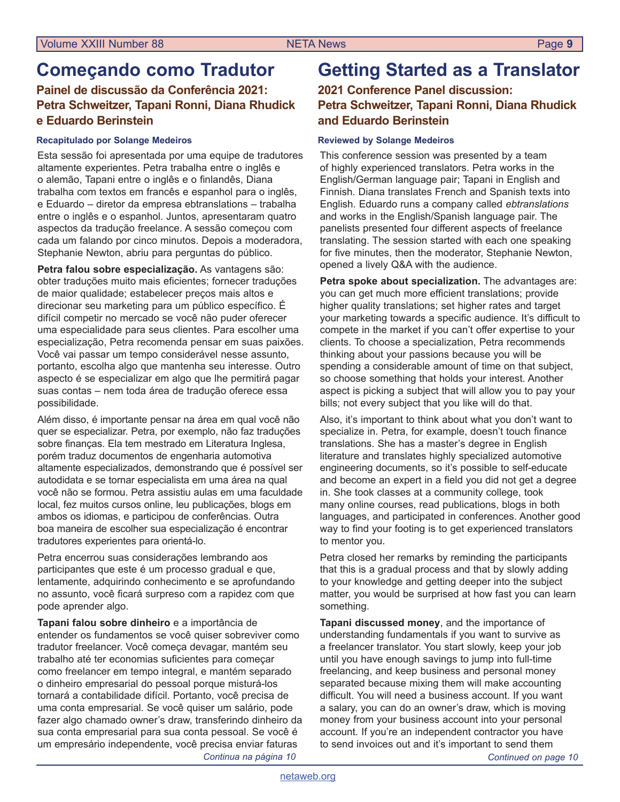## **Começando como Tradutor**

### **Painel de discussão da Conferência 2021: Petra Schweitzer, Tapani Ronni, Diana Rhudick e Eduardo Berinstein**

#### **Recapitulado por Solange Medeiros**

Esta sessão foi apresentada por uma equipe de tradutores altamente experientes. Petra trabalha entre o inglês e o alemão, Tapani entre o inglês e o finlandês, Diana trabalha com textos em francês e espanhol para o inglês, e Eduardo – diretor da empresa ebtranslations – trabalha entre o inglês e o espanhol. Juntos, apresentaram quatro aspectos da tradução freelance. A sessão começou com cada um falando por cinco minutos. Depois a moderadora, Stephanie Newton, abriu para perguntas do público.

**Petra falou sobre especialização.** As vantagens são: obter traduções muito mais eficientes; fornecer traduções de maior qualidade; estabelecer preços mais altos e direcionar seu marketing para um público específico. É difícil competir no mercado se você não puder oferecer uma especialidade para seus clientes. Para escolher uma especialização, Petra recomenda pensar em suas paixões. Você vai passar um tempo considerável nesse assunto, portanto, escolha algo que mantenha seu interesse. Outro aspecto é se especializar em algo que lhe permitirá pagar suas contas – nem toda área de tradução oferece essa possibilidade.

Além disso, é importante pensar na área em qual você não quer se especializar. Petra, por exemplo, não faz traduções sobre finanças. Ela tem mestrado em Literatura Inglesa, porém traduz documentos de engenharia automotiva altamente especializados, demonstrando que é possível ser autodidata e se tornar especialista em uma área na qual você não se formou. Petra assistiu aulas em uma faculdade local, fez muitos cursos online, leu publicações, blogs em ambos os idiomas, e participou de conferências. Outra boa maneira de escolher sua especialização é encontrar tradutores experientes para orientá-lo.

Petra encerrou suas considerações lembrando aos participantes que este é um processo gradual e que, lentamente, adquirindo conhecimento e se aprofundando no assunto, você ficará surpreso com a rapidez com que pode aprender algo.

**Tapani falou sobre dinheiro** e a importância de entender os fundamentos se você quiser sobreviver como tradutor freelancer. Você começa devagar, mantém seu trabalho até ter economias suficientes para começar como freelancer em tempo integral, e mantém separado o dinheiro empresarial do pessoal porque misturá-los tornará a contabilidade difícil. Portanto, você precisa de uma conta empresarial. Se você quiser um salário, pode fazer algo chamado owner's draw, transferindo dinheiro da sua conta empresarial para sua conta pessoal. Se você é um empresário independente, você precisa enviar faturas *Continua na página 10*

## **Getting Started as a Translator**

### **2021 Conference Panel discussion: Petra Schweitzer, Tapani Ronni, Diana Rhudick and Eduardo Berinstein**

#### **Reviewed by Solange Medeiros**

This conference session was presented by a team of highly experienced translators. Petra works in the English/German language pair; Tapani in English and Finnish. Diana translates French and Spanish texts into English. Eduardo runs a company called *ebtranslations* and works in the English/Spanish language pair. The panelists presented four different aspects of freelance translating. The session started with each one speaking for five minutes, then the moderator, Stephanie Newton, opened a lively Q&A with the audience.

**Petra spoke about specialization.** The advantages are: you can get much more efficient translations; provide higher quality translations; set higher rates and target your marketing towards a specific audience. It's difficult to compete in the market if you can't offer expertise to your clients. To choose a specialization, Petra recommends thinking about your passions because you will be spending a considerable amount of time on that subject, so choose something that holds your interest. Another aspect is picking a subject that will allow you to pay your bills; not every subject that you like will do that.

Also, it's important to think about what you don't want to specialize in. Petra, for example, doesn't touch finance translations. She has a master's degree in English literature and translates highly specialized automotive engineering documents, so it's possible to self-educate and become an expert in a field you did not get a degree in. She took classes at a community college, took many online courses, read publications, blogs in both languages, and participated in conferences. Another good way to find your footing is to get experienced translators to mentor you.

Petra closed her remarks by reminding the participants that this is a gradual process and that by slowly adding to your knowledge and getting deeper into the subject matter, you would be surprised at how fast you can learn something.

**Tapani discussed money**, and the importance of understanding fundamentals if you want to survive as a freelancer translator. You start slowly, keep your job until you have enough savings to jump into full-time freelancing, and keep business and personal money separated because mixing them will make accounting difficult. You will need a business account. If you want a salary, you can do an owner's draw, which is moving money from your business account into your personal account. If you're an independent contractor you have to send invoices out and it's important to send them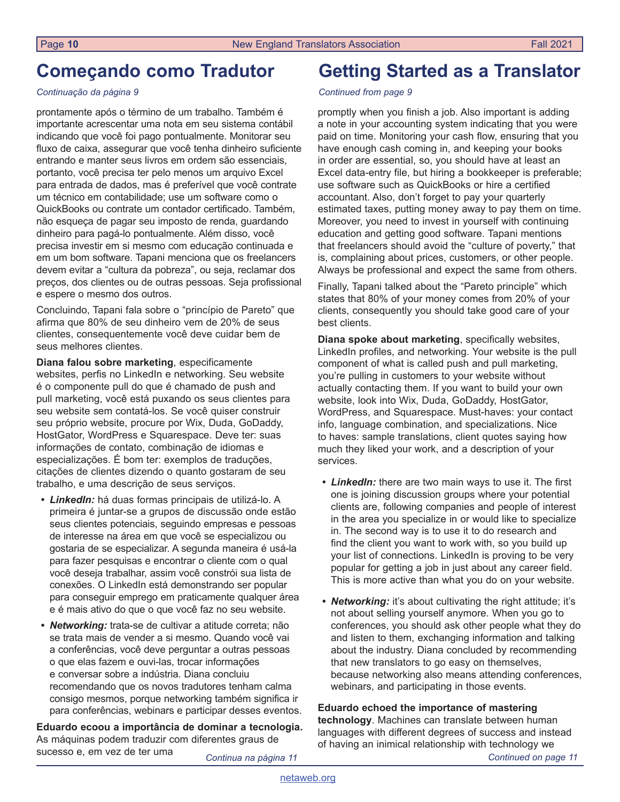## **Começando como Tradutor**

#### *Continuação da página 9*

prontamente após o término de um trabalho. Também é importante acrescentar uma nota em seu sistema contábil indicando que você foi pago pontualmente. Monitorar seu fluxo de caixa, assegurar que você tenha dinheiro suficiente entrando e manter seus livros em ordem são essenciais, portanto, você precisa ter pelo menos um arquivo Excel para entrada de dados, mas é preferível que você contrate um técnico em contabilidade; use um software como o QuickBooks ou contrate um contador certificado. Também, não esqueça de pagar seu imposto de renda, guardando dinheiro para pagá-lo pontualmente. Além disso, você precisa investir em si mesmo com educação continuada e em um bom software. Tapani menciona que os freelancers devem evitar a "cultura da pobreza", ou seja, reclamar dos preços, dos clientes ou de outras pessoas. Seja profissional e espere o mesmo dos outros.

Concluindo, Tapani fala sobre o "princípio de Pareto" que afirma que 80% de seu dinheiro vem de 20% de seus clientes, consequentemente você deve cuidar bem de seus melhores clientes.

**Diana falou sobre marketing**, especificamente websites, perfis no LinkedIn e networking. Seu website é o componente pull do que é chamado de push and pull marketing, você está puxando os seus clientes para seu website sem contatá-los. Se você quiser construir seu próprio website, procure por Wix, Duda, GoDaddy, HostGator, WordPress e Squarespace. Deve ter: suas informações de contato, combinação de idiomas e especializações. É bom ter: exemplos de traduções, citações de clientes dizendo o quanto gostaram de seu trabalho, e uma descrição de seus serviços.

- *• LinkedIn:* há duas formas principais de utilizá-lo. A primeira é juntar-se a grupos de discussão onde estão seus clientes potenciais, seguindo empresas e pessoas de interesse na área em que você se especializou ou gostaria de se especializar. A segunda maneira é usá-la para fazer pesquisas e encontrar o cliente com o qual você deseja trabalhar, assim você constrói sua lista de conexões. O LinkedIn está demonstrando ser popular para conseguir emprego em praticamente qualquer área e é mais ativo do que o que você faz no seu website.
- *• Networking:* trata-se de cultivar a atitude correta; não se trata mais de vender a si mesmo. Quando você vai a conferências, você deve perguntar a outras pessoas o que elas fazem e ouvi-las, trocar informações e conversar sobre a indústria. Diana concluiu recomendando que os novos tradutores tenham calma consigo mesmos, porque networking também significa ir para conferências, webinars e participar desses eventos.

**Eduardo ecoou a importância de dominar a tecnologia.** As máquinas podem traduzir com diferentes graus de sucesso e, em vez de ter uma

**Getting Started as a Translator**

#### *Continued from page 9*

promptly when you finish a job. Also important is adding a note in your accounting system indicating that you were paid on time. Monitoring your cash flow, ensuring that you have enough cash coming in, and keeping your books in order are essential, so, you should have at least an Excel data-entry file, but hiring a bookkeeper is preferable; use software such as QuickBooks or hire a certified accountant. Also, don't forget to pay your quarterly estimated taxes, putting money away to pay them on time. Moreover, you need to invest in yourself with continuing education and getting good software. Tapani mentions that freelancers should avoid the "culture of poverty," that is, complaining about prices, customers, or other people. Always be professional and expect the same from others.

Finally, Tapani talked about the "Pareto principle" which states that 80% of your money comes from 20% of your clients, consequently you should take good care of your best clients.

**Diana spoke about marketing**, specifically websites, LinkedIn profiles, and networking. Your website is the pull component of what is called push and pull marketing, you're pulling in customers to your website without actually contacting them. If you want to build your own website, look into Wix, Duda, GoDaddy, HostGator, WordPress, and Squarespace. Must-haves: your contact info, language combination, and specializations. Nice to haves: sample translations, client quotes saying how much they liked your work, and a description of your services.

- *• LinkedIn:* there are two main ways to use it. The first one is joining discussion groups where your potential clients are, following companies and people of interest in the area you specialize in or would like to specialize in. The second way is to use it to do research and find the client you want to work with, so you build up your list of connections. LinkedIn is proving to be very popular for getting a job in just about any career field. This is more active than what you do on your website.
- *• Networking:* it's about cultivating the right attitude; it's not about selling yourself anymore. When you go to conferences, you should ask other people what they do and listen to them, exchanging information and talking about the industry. Diana concluded by recommending that new translators to go easy on themselves, because networking also means attending conferences, webinars, and participating in those events.

**Eduardo echoed the importance of mastering technology**. Machines can translate between human languages with different degrees of success and instead of having an inimical relationship with technology we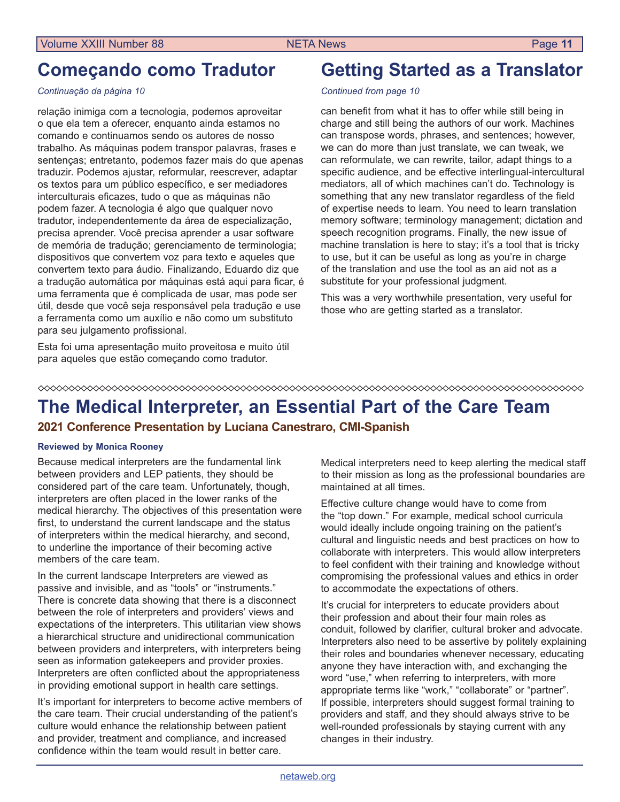## **Começando como Tradutor**

#### *Continuação da página 10*

relação inimiga com a tecnologia, podemos aproveitar o que ela tem a oferecer, enquanto ainda estamos no comando e continuamos sendo os autores de nosso trabalho. As máquinas podem transpor palavras, frases e sentenças; entretanto, podemos fazer mais do que apenas traduzir. Podemos ajustar, reformular, reescrever, adaptar os textos para um público específico, e ser mediadores interculturais eficazes, tudo o que as máquinas não podem fazer. A tecnologia é algo que qualquer novo tradutor, independentemente da área de especialização, precisa aprender. Você precisa aprender a usar software de memória de tradução; gerenciamento de terminologia; dispositivos que convertem voz para texto e aqueles que convertem texto para áudio. Finalizando, Eduardo diz que a tradução automática por máquinas está aqui para ficar, é uma ferramenta que é complicada de usar, mas pode ser útil, desde que você seja responsável pela tradução e use a ferramenta como um auxílio e não como um substituto para seu julgamento profissional.

Esta foi uma apresentação muito proveitosa e muito útil para aqueles que estão começando como tradutor.

## **Getting Started as a Translator**

#### *Continued from page 10*

can benefit from what it has to offer while still being in charge and still being the authors of our work. Machines can transpose words, phrases, and sentences; however, we can do more than just translate, we can tweak, we can reformulate, we can rewrite, tailor, adapt things to a specific audience, and be effective interlingual-intercultural mediators, all of which machines can't do. Technology is something that any new translator regardless of the field of expertise needs to learn. You need to learn translation memory software; terminology management; dictation and speech recognition programs. Finally, the new issue of machine translation is here to stay; it's a tool that is tricky to use, but it can be useful as long as you're in charge of the translation and use the tool as an aid not as a substitute for your professional judgment.

This was a very worthwhile presentation, very useful for those who are getting started as a translator.

#### 

## **The Medical Interpreter, an Essential Part of the Care Team**

### **2021 Conference Presentation by Luciana Canestraro, CMI-Spanish**

#### **Reviewed by Monica Rooney**

Because medical interpreters are the fundamental link between providers and LEP patients, they should be considered part of the care team. Unfortunately, though, interpreters are often placed in the lower ranks of the medical hierarchy. The objectives of this presentation were first, to understand the current landscape and the status of interpreters within the medical hierarchy, and second, to underline the importance of their becoming active members of the care team.

In the current landscape Interpreters are viewed as passive and invisible, and as "tools" or "instruments." There is concrete data showing that there is a disconnect between the role of interpreters and providers' views and expectations of the interpreters. This utilitarian view shows a hierarchical structure and unidirectional communication between providers and interpreters, with interpreters being seen as information gatekeepers and provider proxies. Interpreters are often conflicted about the appropriateness in providing emotional support in health care settings.

It's important for interpreters to become active members of the care team. Their crucial understanding of the patient's culture would enhance the relationship between patient and provider, treatment and compliance, and increased confidence within the team would result in better care.

Medical interpreters need to keep alerting the medical staff to their mission as long as the professional boundaries are maintained at all times.

Effective culture change would have to come from the "top down." For example, medical school curricula would ideally include ongoing training on the patient's cultural and linguistic needs and best practices on how to collaborate with interpreters. This would allow interpreters to feel confident with their training and knowledge without compromising the professional values and ethics in order to accommodate the expectations of others.

It's crucial for interpreters to educate providers about their profession and about their four main roles as conduit, followed by clarifier, cultural broker and advocate. Interpreters also need to be assertive by politely explaining their roles and boundaries whenever necessary, educating anyone they have interaction with, and exchanging the word "use," when referring to interpreters, with more appropriate terms like "work," "collaborate" or "partner". If possible, interpreters should suggest formal training to providers and staff, and they should always strive to be well-rounded professionals by staying current with any changes in their industry.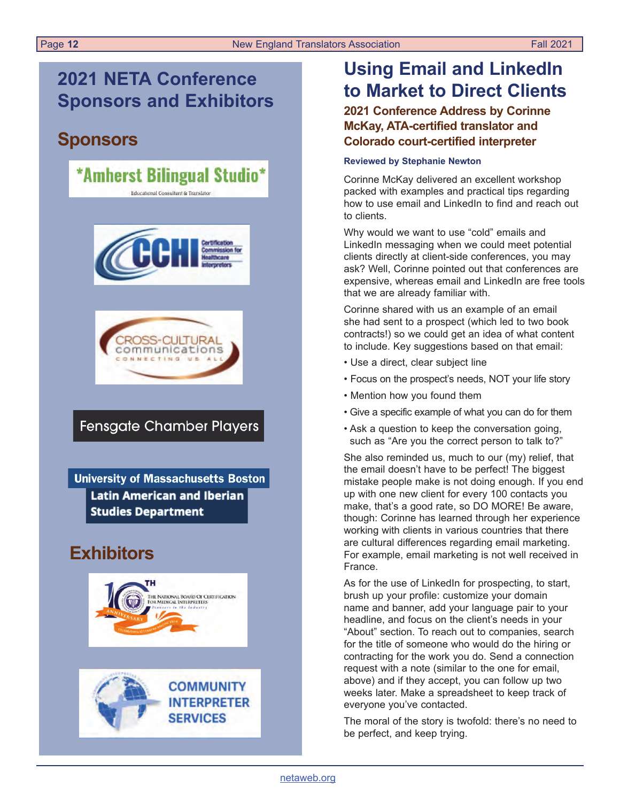## **2021 NETA Conference Sponsors and Exhibitors**

## **Sponsors**

### \*Amherst Bilingual Studio\* Educational Consultant & Translator





## **Fensgate Chamber Players**

**University of Massachusetts Boston Latin American and Iberian Studies Department** 

## **Exhibitors**





## **Using Email and LinkedIn to Market to Direct Clients**

### **2021 Conference Address by Corinne McKay, ATA-certified translator and Colorado court-certified interpreter**

#### **Reviewed by Stephanie Newton**

Corinne McKay delivered an excellent workshop packed with examples and practical tips regarding how to use email and LinkedIn to find and reach out to clients.

Why would we want to use "cold" emails and LinkedIn messaging when we could meet potential clients directly at client-side conferences, you may ask? Well, Corinne pointed out that conferences are expensive, whereas email and LinkedIn are free tools that we are already familiar with.

Corinne shared with us an example of an email she had sent to a prospect (which led to two book contracts!) so we could get an idea of what content to include. Key suggestions based on that email:

- Use a direct, clear subject line
- Focus on the prospect's needs, NOT your life story
- Mention how you found them
- Give a specific example of what you can do for them
- Ask a question to keep the conversation going, such as "Are you the correct person to talk to?"

She also reminded us, much to our (my) relief, that the email doesn't have to be perfect! The biggest mistake people make is not doing enough. If you end up with one new client for every 100 contacts you make, that's a good rate, so DO MORE! Be aware, though: Corinne has learned through her experience working with clients in various countries that there are cultural differences regarding email marketing. For example, email marketing is not well received in France.

As for the use of LinkedIn for prospecting, to start, brush up your profile: customize your domain name and banner, add your language pair to your headline, and focus on the client's needs in your "About" section. To reach out to companies, search for the title of someone who would do the hiring or contracting for the work you do. Send a connection request with a note (similar to the one for email, above) and if they accept, you can follow up two weeks later. Make a spreadsheet to keep track of everyone you've contacted.

The moral of the story is twofold: there's no need to be perfect, and keep trying.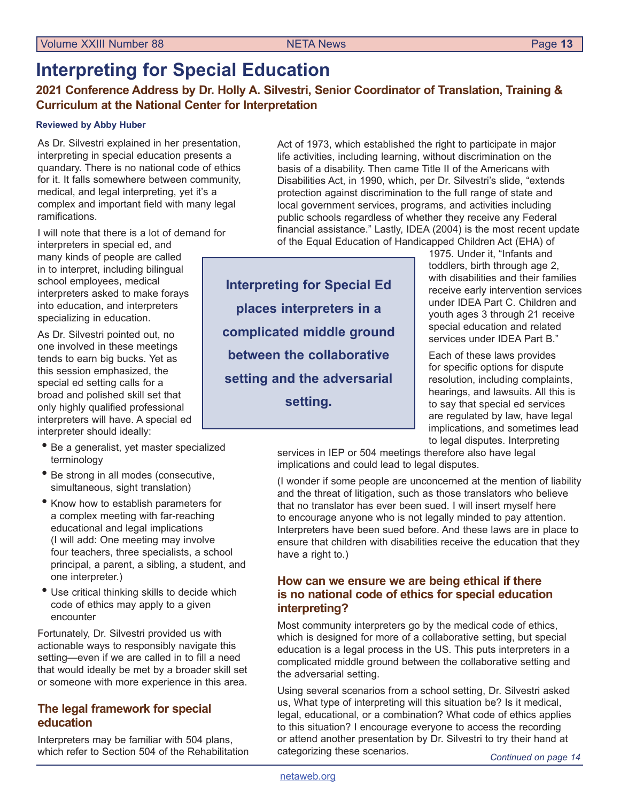## **Interpreting for Special Education**

**2021 Conference Address by Dr. Holly A. Silvestri, Senior Coordinator of Translation, Training & Curriculum at the National Center for Interpretation**

#### **Reviewed by Abby Huber**

As Dr. Silvestri explained in her presentation, interpreting in special education presents a quandary. There is no national code of ethics for it. It falls somewhere between community, medical, and legal interpreting, yet it's a complex and important field with many legal ramifications.

I will note that there is a lot of demand for interpreters in special ed, and

many kinds of people are called in to interpret, including bilingual school employees, medical interpreters asked to make forays into education, and interpreters specializing in education.

As Dr. Silvestri pointed out, no one involved in these meetings tends to earn big bucks. Yet as this session emphasized, the special ed setting calls for a broad and polished skill set that only highly qualified professional interpreters will have. A special ed interpreter should ideally:

- Be a generalist, yet master specialized terminology
- Be strong in all modes (consecutive, simultaneous, sight translation)
- Know how to establish parameters for a complex meeting with far-reaching educational and legal implications (I will add: One meeting may involve four teachers, three specialists, a school principal, a parent, a sibling, a student, and one interpreter.)
- Use critical thinking skills to decide which code of ethics may apply to a given encounter

Fortunately, Dr. Silvestri provided us with actionable ways to responsibly navigate this setting—even if we are called in to fill a need that would ideally be met by a broader skill set or someone with more experience in this area.

### **The legal framework for special education**

Interpreters may be familiar with 504 plans, which refer to Section 504 of the Rehabilitation Act of 1973, which established the right to participate in major life activities, including learning, without discrimination on the basis of a disability. Then came Title II of the Americans with Disabilities Act, in 1990, which, per Dr. Silvestri's slide, "extends protection against discrimination to the full range of state and local government services, programs, and activities including public schools regardless of whether they receive any Federal financial assistance." Lastly, IDEA (2004) is the most recent update of the Equal Education of Handicapped Children Act (EHA) of

**Interpreting for Special Ed places interpreters in a complicated middle ground between the collaborative setting and the adversarial setting.**

1975. Under it, "Infants and toddlers, birth through age 2, with disabilities and their families receive early intervention services under IDEA Part C. Children and youth ages 3 through 21 receive special education and related services under IDEA Part B."

Each of these laws provides for specific options for dispute resolution, including complaints, hearings, and lawsuits. All this is to say that special ed services are regulated by law, have legal implications, and sometimes lead to legal disputes. Interpreting

services in IEP or 504 meetings therefore also have legal implications and could lead to legal disputes.

(I wonder if some people are unconcerned at the mention of liability and the threat of litigation, such as those translators who believe that no translator has ever been sued. I will insert myself here to encourage anyone who is not legally minded to pay attention. Interpreters have been sued before. And these laws are in place to ensure that children with disabilities receive the education that they have a right to.)

### **How can we ensure we are being ethical if there is no national code of ethics for special education interpreting?**

Most community interpreters go by the medical code of ethics, which is designed for more of a collaborative setting, but special education is a legal process in the US. This puts interpreters in a complicated middle ground between the collaborative setting and the adversarial setting.

Using several scenarios from a school setting, Dr. Silvestri asked us, What type of interpreting will this situation be? Is it medical, legal, educational, or a combination? What code of ethics applies to this situation? I encourage everyone to access the recording or attend another presentation by Dr. Silvestri to try their hand at categorizing these scenarios.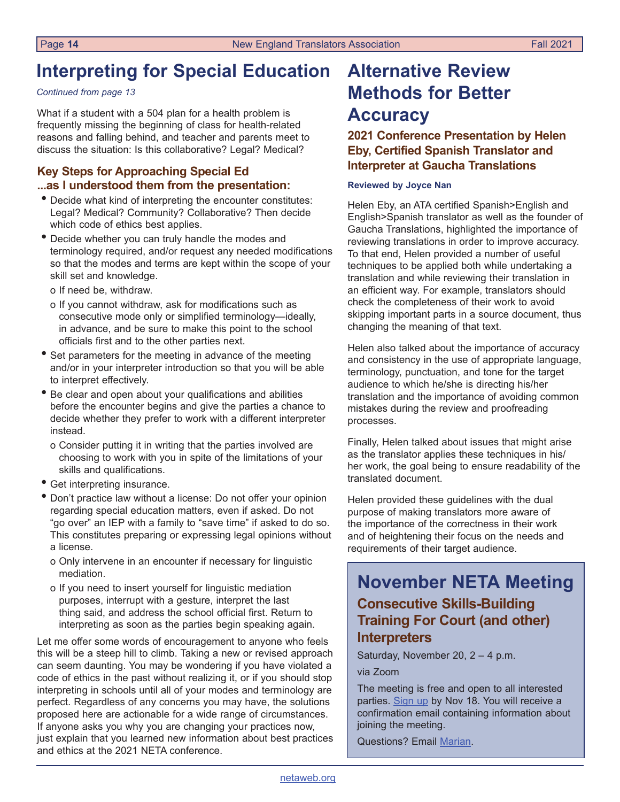## <span id="page-13-0"></span>**Interpreting for Special Education**

#### *Continued from page 13*

What if a student with a 504 plan for a health problem is frequently missing the beginning of class for health-related reasons and falling behind, and teacher and parents meet to discuss the situation: Is this collaborative? Legal? Medical?

### **Key Steps for Approaching Special Ed ...as I understood them from the presentation:**

- Decide what kind of interpreting the encounter constitutes: Legal? Medical? Community? Collaborative? Then decide which code of ethics best applies.
- Decide whether you can truly handle the modes and terminology required, and/or request any needed modifications so that the modes and terms are kept within the scope of your skill set and knowledge.
	- o If need be, withdraw.
	- o If you cannot withdraw, ask for modifications such as consecutive mode only or simplified terminology—ideally, in advance, and be sure to make this point to the school officials first and to the other parties next.
- Set parameters for the meeting in advance of the meeting and/or in your interpreter introduction so that you will be able to interpret effectively.
- Be clear and open about your qualifications and abilities before the encounter begins and give the parties a chance to decide whether they prefer to work with a different interpreter instead.
	- o Consider putting it in writing that the parties involved are choosing to work with you in spite of the limitations of your skills and qualifications.
- Get interpreting insurance.
- Don't practice law without a license: Do not offer your opinion regarding special education matters, even if asked. Do not "go over" an IEP with a family to "save time" if asked to do so. This constitutes preparing or expressing legal opinions without a license.
	- o Only intervene in an encounter if necessary for linguistic mediation.
	- o If you need to insert yourself for linguistic mediation purposes, interrupt with a gesture, interpret the last thing said, and address the school official first. Return to interpreting as soon as the parties begin speaking again.

Let me offer some words of encouragement to anyone who feels this will be a steep hill to climb. Taking a new or revised approach can seem daunting. You may be wondering if you have violated a code of ethics in the past without realizing it, or if you should stop interpreting in schools until all of your modes and terminology are perfect. Regardless of any concerns you may have, the solutions proposed here are actionable for a wide range of circumstances. If anyone asks you why you are changing your practices now, just explain that you learned new information about best practices and ethics at the 2021 NETA conference.

## **Alternative Review Methods for Better Accuracy**

**2021 Conference Presentation by Helen Eby, Certified Spanish Translator and Interpreter at Gaucha Translations**

#### **Reviewed by Joyce Nan**

Helen Eby, an ATA certified Spanish>English and English>Spanish translator as well as the founder of Gaucha Translations, highlighted the importance of reviewing translations in order to improve accuracy. To that end, Helen provided a number of useful techniques to be applied both while undertaking a translation and while reviewing their translation in an efficient way. For example, translators should check the completeness of their work to avoid skipping important parts in a source document, thus changing the meaning of that text.

Helen also talked about the importance of accuracy and consistency in the use of appropriate language, terminology, punctuation, and tone for the target audience to which he/she is directing his/her translation and the importance of avoiding common mistakes during the review and proofreading processes.

Finally, Helen talked about issues that might arise as the translator applies these techniques in his/ her work, the goal being to ensure readability of the translated document.

Helen provided these guidelines with the dual purpose of making translators more aware of the importance of the correctness in their work and of heightening their focus on the needs and requirements of their target audience.

## **November NETA Meeting Consecutive Skills-Building Training For Court (and other) Interpreters**

Saturday, November 20, 2 – 4 p.m.

via Zoom

The meeting is free and open to all interested parties. [Sign up](https://us06web.zoom.us/meeting/register/tZ0pcuqtrjsqH9GsOZAhzo1_j6AuBducIL17) by Nov 18. You will receive a confirmation email containing information about joining the meeting.

Questions? Email [Marian](mailto:mcomenetz%40gmail.com?subject=Nov%2020%20monthly%20meeting%20question).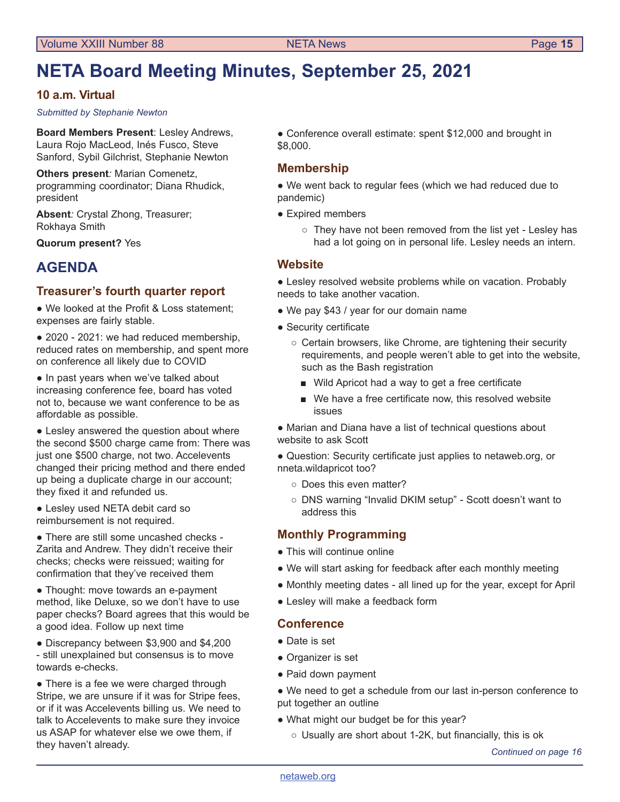## <span id="page-14-0"></span>**NETA Board Meeting Minutes, September 25, 2021**

### **10 a.m. Virtual**

*Submitted by Stephanie Newton* 

**Board Members Present**: Lesley Andrews, Laura Rojo MacLeod, Inés Fusco, Steve Sanford, Sybil Gilchrist, Stephanie Newton

**Others present***:* Marian Comenetz, programming coordinator; Diana Rhudick, president

**Absent***:* Crystal Zhong, Treasurer; Rokhaya Smith

**Quorum present?** Yes

## **AGENDA**

### **Treasurer's fourth quarter report**

● We looked at the Profit & Loss statement; expenses are fairly stable.

• 2020 - 2021: we had reduced membership, reduced rates on membership, and spent more on conference all likely due to COVID

● In past years when we've talked about increasing conference fee, board has voted not to, because we want conference to be as affordable as possible.

• Lesley answered the question about where the second \$500 charge came from: There was just one \$500 charge, not two. Accelevents changed their pricing method and there ended up being a duplicate charge in our account; they fixed it and refunded us.

● Lesley used NETA debit card so reimbursement is not required.

● There are still some uncashed checks - Zarita and Andrew. They didn't receive their checks; checks were reissued; waiting for confirmation that they've received them

• Thought: move towards an e-payment method, like Deluxe, so we don't have to use paper checks? Board agrees that this would be a good idea. Follow up next time

● Discrepancy between \$3,900 and \$4,200 - still unexplained but consensus is to move towards e-checks.

• There is a fee we were charged through Stripe, we are unsure if it was for Stripe fees, or if it was Accelevents billing us. We need to talk to Accelevents to make sure they invoice us ASAP for whatever else we owe them, if they haven't already. *Continued on page 16*

● Conference overall estimate: spent \$12,000 and brought in \$8,000.

### **Membership**

● We went back to regular fees (which we had reduced due to pandemic)

- Expired members
	- They have not been removed from the list yet Lesley has had a lot going on in personal life. Lesley needs an intern.

#### **Website**

● Lesley resolved website problems while on vacation. Probably needs to take another vacation.

- We pay \$43 / year for our domain name
- Security certificate
	- Certain browsers, like Chrome, are tightening their security requirements, and people weren't able to get into the website, such as the Bash registration
		- Wild Apricot had a way to get a free certificate
		- We have a free certificate now, this resolved website issues

• Marian and Diana have a list of technical questions about website to ask Scott

● Question: Security certificate just applies to netaweb.org, or nneta.wildapricot too?

- Does this even matter?
- DNS warning "Invalid DKIM setup" Scott doesn't want to address this

#### **Monthly Programming**

- This will continue online
- We will start asking for feedback after each monthly meeting
- Monthly meeting dates all lined up for the year, except for April
- Lesley will make a feedback form

#### **Conference**

- Date is set
- Organizer is set
- Paid down payment

● We need to get a schedule from our last in-person conference to put together an outline

- What might our budget be for this year?
	- Usually are short about 1-2K, but financially, this is ok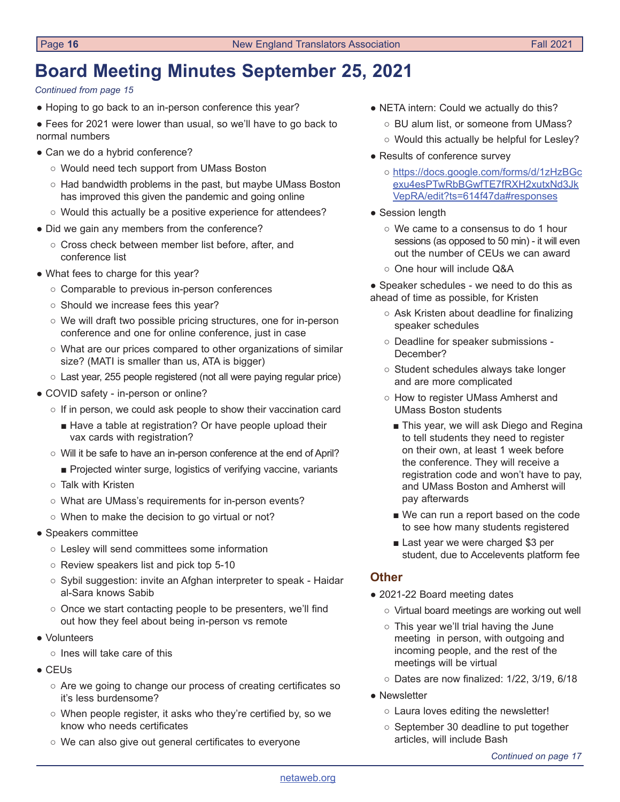## **Board Meeting Minutes September 25, 2021**

*Continued from page 15*

- Hoping to go back to an in-person conference this year?
- Fees for 2021 were lower than usual, so we'll have to go back to normal numbers
- Can we do a hybrid conference?
	- Would need tech support from UMass Boston
	- Had bandwidth problems in the past, but maybe UMass Boston has improved this given the pandemic and going online
	- Would this actually be a positive experience for attendees?
- Did we gain any members from the conference?
	- Cross check between member list before, after, and conference list
- What fees to charge for this year?
	- Comparable to previous in-person conferences
	- Should we increase fees this year?
	- We will draft two possible pricing structures, one for in-person conference and one for online conference, just in case
	- What are our prices compared to other organizations of similar size? (MATI is smaller than us, ATA is bigger)
	- Last year, 255 people registered (not all were paying regular price)
- COVID safety in-person or online?
	- $\circ$  If in person, we could ask people to show their vaccination card
		- Have a table at registration? Or have people upload their vax cards with registration?
	- Will it be safe to have an in-person conference at the end of April?
		- Projected winter surge, logistics of verifying vaccine, variants
	- Talk with Kristen
	- What are UMass's requirements for in-person events?
	- When to make the decision to go virtual or not?
- Speakers committee
	- Lesley will send committees some information
	- Review speakers list and pick top 5-10
	- Sybil suggestion: invite an Afghan interpreter to speak Haidar al-Sara knows Sabib
	- Once we start contacting people to be presenters, we'll find out how they feel about being in-person vs remote
- Volunteers
	- Ines will take care of this
- CEUs
	- Are we going to change our process of creating certificates so it's less burdensome?
	- When people register, it asks who they're certified by, so we know who needs certificates
	- We can also give out general certificates to everyone
- NETA intern: Could we actually do this?
	- BU alum list, or someone from UMass?
	- Would this actually be helpful for Lesley?
- Results of conference survey
	- [https://docs.google.com/forms/d/1zHzBGc](https://docs.google.com/forms/d/1zHzBGcexu4esPTwRbBGwfTE7fRXH2xutxNd3JkVepRA/edit?ts=614f47da#responses) [exu4esPTwRbBGwfTE7fRXH2xutxNd3Jk](https://docs.google.com/forms/d/1zHzBGcexu4esPTwRbBGwfTE7fRXH2xutxNd3JkVepRA/edit?ts=614f47da#responses) [VepRA/edit?ts=614f47da#responses](https://docs.google.com/forms/d/1zHzBGcexu4esPTwRbBGwfTE7fRXH2xutxNd3JkVepRA/edit?ts=614f47da#responses)
- Session length
	- We came to a consensus to do 1 hour sessions (as opposed to 50 min) - it will even out the number of CEUs we can award
	- One hour will include Q&A

• Speaker schedules - we need to do this as ahead of time as possible, for Kristen

- Ask Kristen about deadline for finalizing speaker schedules
- Deadline for speaker submissions December?
- Student schedules always take longer and are more complicated
- How to register UMass Amherst and UMass Boston students
	- This year, we will ask Diego and Regina to tell students they need to register on their own, at least 1 week before the conference. They will receive a registration code and won't have to pay, and UMass Boston and Amherst will pay afterwards
	- We can run a report based on the code to see how many students registered
	- Last year we were charged \$3 per student, due to Accelevents platform fee

#### **Other**

- 2021-22 Board meeting dates
	- Virtual board meetings are working out well
	- This year we'll trial having the June meeting in person, with outgoing and incoming people, and the rest of the meetings will be virtual
	- Dates are now finalized: 1/22, 3/19, 6/18
- Newsletter
	- Laura loves editing the newsletter!
	- September 30 deadline to put together articles, will include Bash